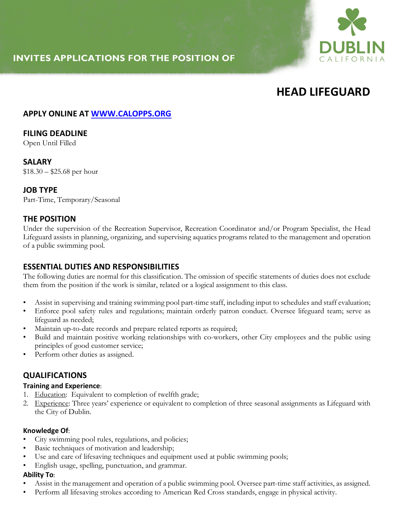## **INVITES APPLICATIONS FOR THE POSITION OF**



# **HEAD LIFEGUARD**

## **APPLY ONLINE AT WWW.CALOPPS.ORG**

## **FILING DEADLINE**

Open Until Filled

#### **SALARY**

 $$18.30 - $25.68$  per hour

#### **JOB TYPE**

Part-Time, Temporary/Seasonal

## **THE POSITION**

Under the supervision of the Recreation Supervisor, Recreation Coordinator and/or Program Specialist, the Head Lifeguard assists in planning, organizing, and supervising aquatics programs related to the management and operation of a public swimming pool.

## **ESSENTIAL DUTIES AND RESPONSIBILITIES**

The following duties are normal for this classification. The omission of specific statements of duties does not exclude them from the position if the work is similar, related or a logical assignment to this class.

- Assist in supervising and training swimming pool part-time staff, including input to schedules and staff evaluation;
- Enforce pool safety rules and regulations; maintain orderly patron conduct. Oversee lifeguard team; serve as lifeguard as needed;
- Maintain up-to-date records and prepare related reports as required;
- Build and maintain positive working relationships with co-workers, other City employees and the public using principles of good customer service;
- Perform other duties as assigned.

## **QUALIFICATIONS**

#### **Training and Experience**:

- 1. Education: Equivalent to completion of twelfth grade;
- 2. Experience: Three years' experience or equivalent to completion of three seasonal assignments as Lifeguard with the City of Dublin.

#### **Knowledge Of**:

- City swimming pool rules, regulations, and policies;
- Basic techniques of motivation and leadership;
- Use and care of lifesaving techniques and equipment used at public swimming pools;
- English usage, spelling, punctuation, and grammar.

#### **Ability To**:

- Assist in the management and operation of a public swimming pool. Oversee part-time staff activities, as assigned.
- Perform all lifesaving strokes according to American Red Cross standards, engage in physical activity.